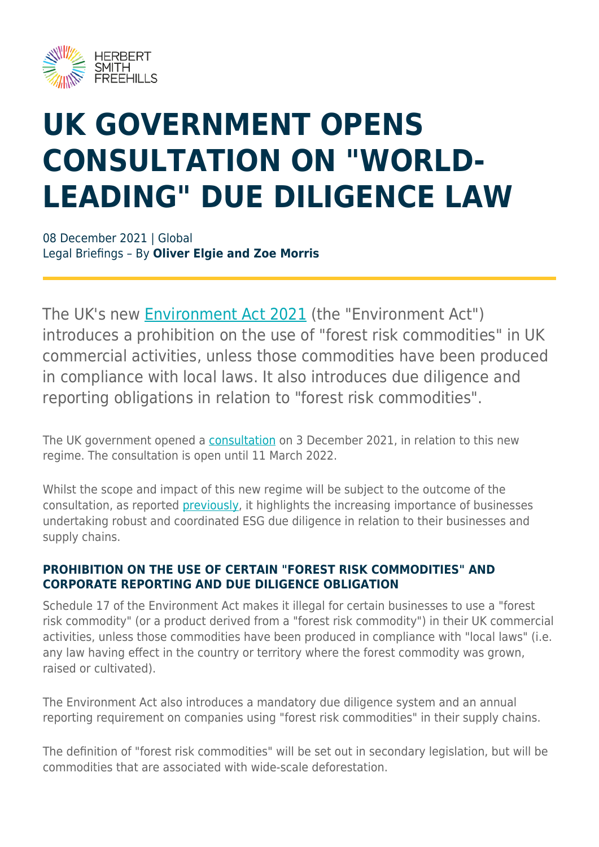

# **UK GOVERNMENT OPENS CONSULTATION ON "WORLD-LEADING" DUE DILIGENCE LAW**

08 December 2021 | Global Legal Briefings – By **Oliver Elgie and Zoe Morris**

The UK's new [Environment Act 2021](https://www.legislation.gov.uk/ukpga/2021/30/contents/enacted) (the "Environment Act") introduces a prohibition on the use of "forest risk commodities" in UK commercial activities, unless those commodities have been produced in compliance with local laws. It also introduces due diligence and reporting obligations in relation to "forest risk commodities".

The UK government opened a [consultation](https://consult.defra.gov.uk/international-biodiversity-and-climate/implementing-due-diligence-forest-risk-commodities/) on 3 December 2021, in relation to this new regime. The consultation is open until 11 March 2022.

Whilst the scope and impact of this new regime will be subject to the outcome of the consultation, as reported [previously](https://www.herbertsmithfreehills.com/insight/world-leading-reforms-%E2%80%93-the-uk-to-require-deforestation-checks), it highlights the increasing importance of businesses undertaking robust and coordinated ESG due diligence in relation to their businesses and supply chains.

#### **PROHIBITION ON THE USE OF CERTAIN "FOREST RISK COMMODITIES" AND CORPORATE REPORTING AND DUE DILIGENCE OBLIGATION**

Schedule 17 of the Environment Act makes it illegal for certain businesses to use a "forest risk commodity" (or a product derived from a "forest risk commodity") in their UK commercial activities, unless those commodities have been produced in compliance with "local laws" (i.e. any law having effect in the country or territory where the forest commodity was grown, raised or cultivated).

The Environment Act also introduces a mandatory due diligence system and an annual reporting requirement on companies using "forest risk commodities" in their supply chains.

The definition of "forest risk commodities" will be set out in secondary legislation, but will be commodities that are associated with wide-scale deforestation.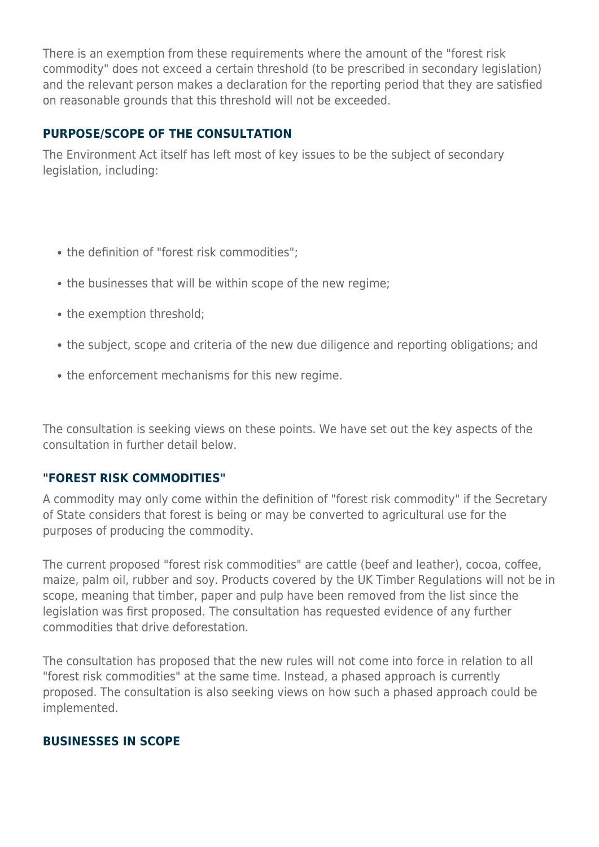There is an exemption from these requirements where the amount of the "forest risk commodity" does not exceed a certain threshold (to be prescribed in secondary legislation) and the relevant person makes a declaration for the reporting period that they are satisfied on reasonable grounds that this threshold will not be exceeded.

#### **PURPOSE/SCOPE OF THE CONSULTATION**

The Environment Act itself has left most of key issues to be the subject of secondary legislation, including:

- the definition of "forest risk commodities":
- the businesses that will be within scope of the new regime;
- the exemption threshold;
- the subject, scope and criteria of the new due diligence and reporting obligations; and
- the enforcement mechanisms for this new regime.

The consultation is seeking views on these points. We have set out the key aspects of the consultation in further detail below.

#### **"FOREST RISK COMMODITIES"**

A commodity may only come within the definition of "forest risk commodity" if the Secretary of State considers that forest is being or may be converted to agricultural use for the purposes of producing the commodity.

The current proposed "forest risk commodities" are cattle (beef and leather), cocoa, coffee, maize, palm oil, rubber and soy. Products covered by the UK Timber Regulations will not be in scope, meaning that timber, paper and pulp have been removed from the list since the legislation was first proposed. The consultation has requested evidence of any further commodities that drive deforestation.

The consultation has proposed that the new rules will not come into force in relation to all "forest risk commodities" at the same time. Instead, a phased approach is currently proposed. The consultation is also seeking views on how such a phased approach could be implemented.

#### **BUSINESSES IN SCOPE**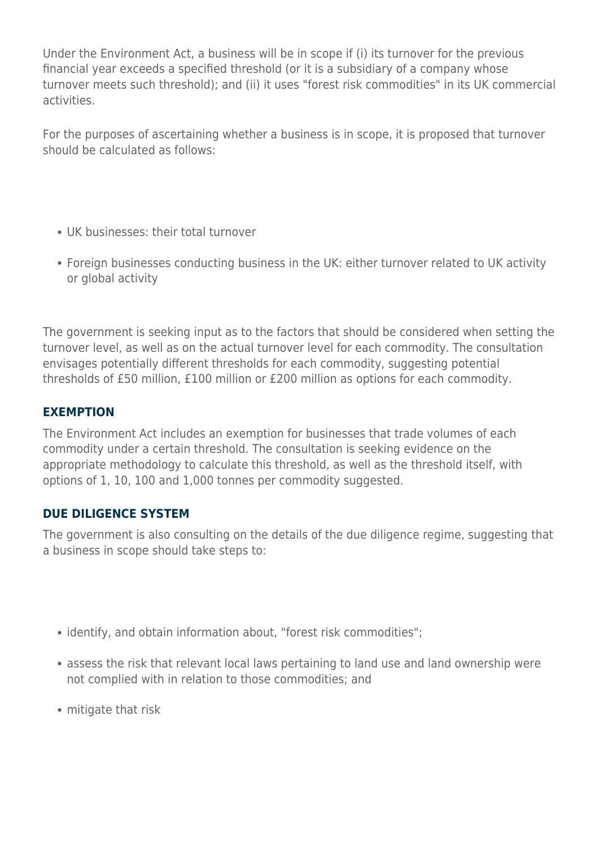Under the Environment Act, a business will be in scope if (i) its turnover for the previous financial year exceeds a specified threshold (or it is a subsidiary of a company whose turnover meets such threshold); and (ii) it uses "forest risk commodities" in its UK commercial activities.

For the purposes of ascertaining whether a business is in scope, it is proposed that turnover should be calculated as follows:

- UK businesses: their total turnover
- Foreign businesses conducting business in the UK: either turnover related to UK activity or global activity

The government is seeking input as to the factors that should be considered when setting the turnover level, as well as on the actual turnover level for each commodity. The consultation envisages potentially different thresholds for each commodity, suggesting potential thresholds of £50 million, £100 million or £200 million as options for each commodity.

#### **EXEMPTION**

The Environment Act includes an exemption for businesses that trade volumes of each commodity under a certain threshold. The consultation is seeking evidence on the appropriate methodology to calculate this threshold, as well as the threshold itself, with options of 1, 10, 100 and 1,000 tonnes per commodity suggested.

#### **DUE DILIGENCE SYSTEM**

The government is also consulting on the details of the due diligence regime, suggesting that a business in scope should take steps to:

- identify, and obtain information about, "forest risk commodities";
- assess the risk that relevant local laws pertaining to land use and land ownership were not complied with in relation to those commodities; and
- mitigate that risk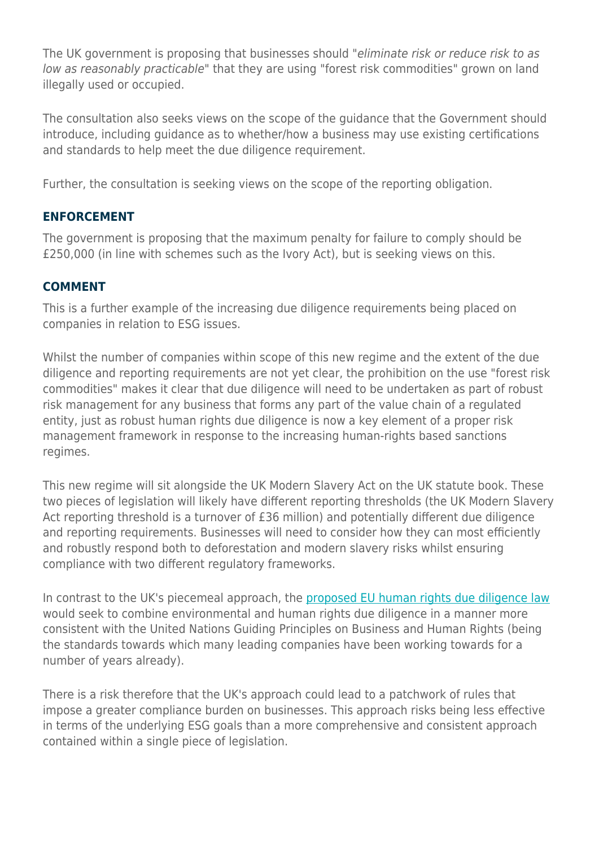The UK government is proposing that businesses should "eliminate risk or reduce risk to as low as reasonably practicable" that they are using "forest risk commodities" grown on land illegally used or occupied.

The consultation also seeks views on the scope of the guidance that the Government should introduce, including guidance as to whether/how a business may use existing certifications and standards to help meet the due diligence requirement.

Further, the consultation is seeking views on the scope of the reporting obligation.

#### **ENFORCEMENT**

The government is proposing that the maximum penalty for failure to comply should be £250,000 (in line with schemes such as the Ivory Act), but is seeking views on this.

#### **COMMENT**

This is a further example of the increasing due diligence requirements being placed on companies in relation to ESG issues.

Whilst the number of companies within scope of this new regime and the extent of the due diligence and reporting requirements are not yet clear, the prohibition on the use "forest risk commodities" makes it clear that due diligence will need to be undertaken as part of robust risk management for any business that forms any part of the value chain of a regulated entity, just as robust human rights due diligence is now a key element of a proper risk management framework in response to the increasing human-rights based sanctions regimes.

This new regime will sit alongside the UK Modern Slavery Act on the UK statute book. These two pieces of legislation will likely have different reporting thresholds (the UK Modern Slavery Act reporting threshold is a turnover of £36 million) and potentially different due diligence and reporting requirements. Businesses will need to consider how they can most efficiently and robustly respond both to deforestation and modern slavery risks whilst ensuring compliance with two different regulatory frameworks.

In contrast to the UK's piecemeal approach, the [proposed EU human rights due diligence law](https://www.herbertsmithfreehills.com/latest-thinking/eu-mandatory-human-rights-due-diligence-law-takes-shape) would seek to combine environmental and human rights due diligence in a manner more consistent with the United Nations Guiding Principles on Business and Human Rights (being the standards towards which many leading companies have been working towards for a number of years already).

There is a risk therefore that the UK's approach could lead to a patchwork of rules that impose a greater compliance burden on businesses. This approach risks being less effective in terms of the underlying ESG goals than a more comprehensive and consistent approach contained within a single piece of legislation.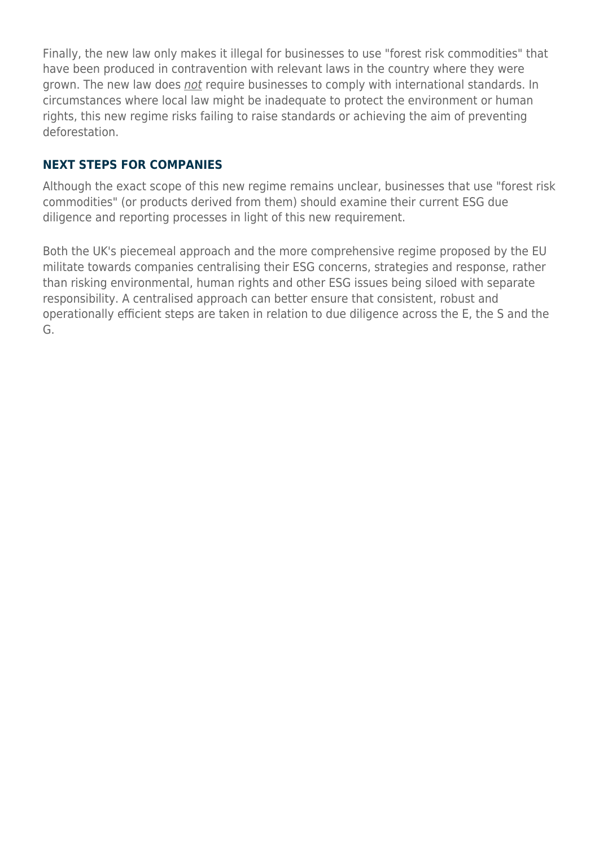Finally, the new law only makes it illegal for businesses to use "forest risk commodities" that have been produced in contravention with relevant laws in the country where they were grown. The new law does not require businesses to comply with international standards. In circumstances where local law might be inadequate to protect the environment or human rights, this new regime risks failing to raise standards or achieving the aim of preventing deforestation.

#### **NEXT STEPS FOR COMPANIES**

Although the exact scope of this new regime remains unclear, businesses that use "forest risk commodities" (or products derived from them) should examine their current ESG due diligence and reporting processes in light of this new requirement.

Both the UK's piecemeal approach and the more comprehensive regime proposed by the EU militate towards companies centralising their ESG concerns, strategies and response, rather than risking environmental, human rights and other ESG issues being siloed with separate responsibility. A centralised approach can better ensure that consistent, robust and operationally efficient steps are taken in relation to due diligence across the E, the S and the G.